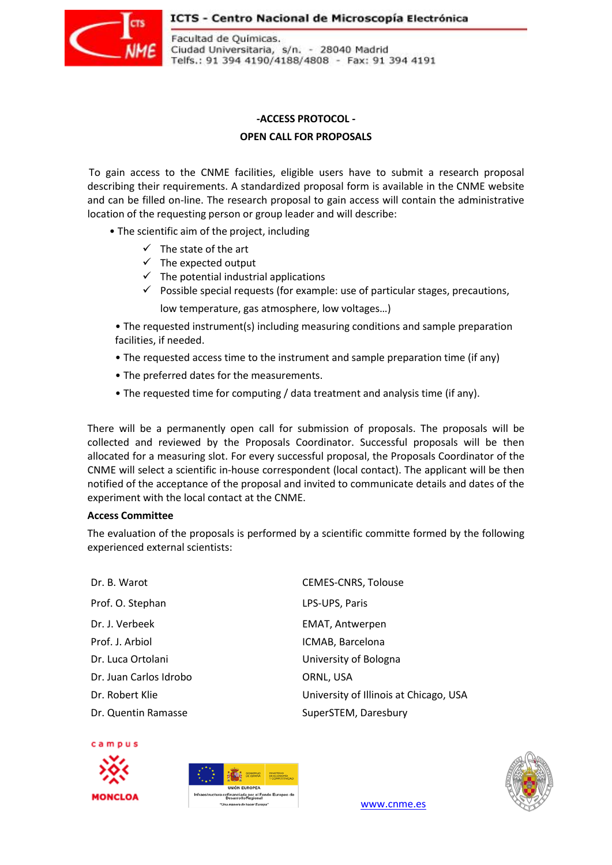#### ICTS - Centro Nacional de Microscopía Electrónica



Facultad de Químicas. Ciudad Universitaria, s/n. - 28040 Madrid Telfs.: 91 394 4190/4188/4808 - Fax: 91 394 4191

# **-ACCESS PROTOCOL -**

## **OPEN CALL FOR PROPOSALS**

To gain access to the CNME facilities, eligible users have to submit a research proposal describing their requirements. A standardized proposal form is available in the CNME website and can be filled on-line. The research proposal to gain access will contain the administrative location of the requesting person or group leader and will describe:

- The scientific aim of the project, including
	- $\checkmark$  The state of the art
	- $\checkmark$  The expected output
	- $\checkmark$  The potential industrial applications
	- $\checkmark$  Possible special requests (for example: use of particular stages, precautions, low temperature, gas atmosphere, low voltages…)

• The requested instrument(s) including measuring conditions and sample preparation facilities, if needed.

- The requested access time to the instrument and sample preparation time (if any)
- The preferred dates for the measurements.
- The requested time for computing / data treatment and analysis time (if any).

There will be a permanently open call for submission of proposals. The proposals will be collected and reviewed by the Proposals Coordinator. Successful proposals will be then allocated for a measuring slot. For every successful proposal, the Proposals Coordinator of the CNME will select a scientific in-house correspondent (local contact). The applicant will be then notified of the acceptance of the proposal and invited to communicate details and dates of the experiment with the local contact at the CNME.

#### **Access Committee**

The evaluation of the proposals is performed by a scientific committe formed by the following experienced external scientists:

| Dr. B. Warot           | <b>CEMES-CNRS, Tolouse</b>             |
|------------------------|----------------------------------------|
| Prof. O. Stephan       | LPS-UPS, Paris                         |
| Dr. J. Verbeek         | <b>EMAT, Antwerpen</b>                 |
| Prof. J. Arbiol        | ICMAB, Barcelona                       |
| Dr. Luca Ortolani      | University of Bologna                  |
| Dr. Juan Carlos Idrobo | ORNL, USA                              |
| Dr. Robert Klie        | University of Illinois at Chicago, USA |
| Dr. Quentin Ramasse    | SuperSTEM, Daresbury                   |

campus







www.cnme.es